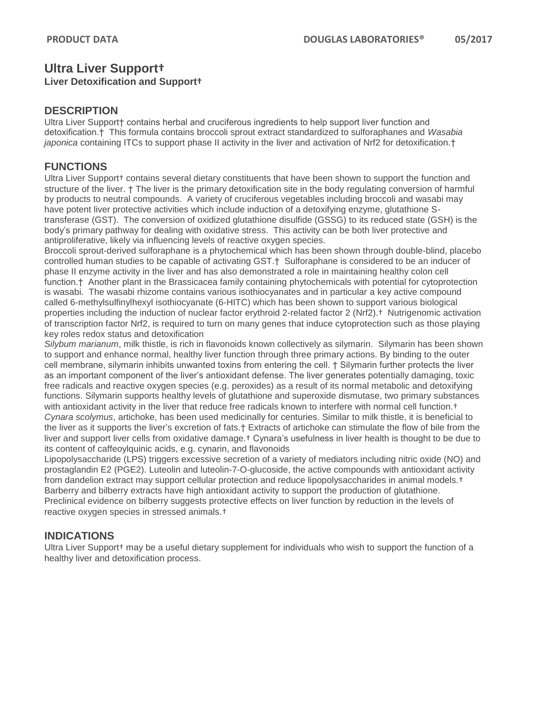## **Ultra Liver Support†**

### **Liver Detoxification and Support†**

### **DESCRIPTION**

Ultra Liver Support† contains herbal and cruciferous ingredients to help support liver function and detoxification.† This formula contains broccoli sprout extract standardized to sulforaphanes and *Wasabia japonica* containing ITCs to support phase II activity in the liver and activation of Nrf2 for detoxification.†

## **FUNCTIONS**

Ultra Liver Support† contains several dietary constituents that have been shown to support the function and structure of the liver. † The liver is the primary detoxification site in the body regulating conversion of harmful by products to neutral compounds. A variety of cruciferous vegetables including broccoli and wasabi may have potent liver protective activities which include induction of a detoxifying enzyme, glutathione Stransferase (GST). The conversion of oxidized glutathione disulfide (GSSG) to its reduced state (GSH) is the body's primary pathway for dealing with oxidative stress. This activity can be both liver protective and antiproliferative, likely via influencing levels of reactive oxygen species.

Broccoli sprout-derived sulforaphane is a phytochemical which has been shown through double-blind, placebo controlled human studies to be capable of activating GST.† Sulforaphane is considered to be an inducer of phase II enzyme activity in the liver and has also demonstrated a role in maintaining healthy colon cell function.† Another plant in the Brassicacea family containing phytochemicals with potential for cytoprotection is wasabi. The wasabi rhizome contains various isothiocyanates and in particular a key active compound called 6-methylsulfinylhexyl isothiocyanate (6-HITC) which has been shown to support various biological properties including the induction of nuclear factor erythroid 2-related factor 2 (Nrf2).† Nutrigenomic activation of transcription factor Nrf2, is required to turn on many genes that induce cytoprotection such as those playing key roles redox status and detoxification

*Silybum marianum*, milk thistle, is rich in flavonoids known collectively as silymarin. Silymarin has been shown to support and enhance normal, healthy liver function through three primary actions. By binding to the outer cell membrane, silymarin inhibits unwanted toxins from entering the cell. † Silymarin further protects the liver as an important component of the liver's antioxidant defense. The liver generates potentially damaging, toxic free radicals and reactive oxygen species (e.g. peroxides) as a result of its normal metabolic and detoxifying functions. Silymarin supports healthy levels of glutathione and superoxide dismutase, two primary substances with antioxidant activity in the liver that reduce free radicals known to interfere with normal cell function.<sup>†</sup> *Cynara scolymus*, artichoke, has been used medicinally for centuries. Similar to milk thistle, it is beneficial to the liver as it supports the liver's excretion of fats.† Extracts of artichoke can stimulate the flow of bile from the liver and support liver cells from oxidative damage.† Cynara's usefulness in liver health is thought to be due to its content of caffeoylquinic acids, e.g. cynarin, and flavonoids

Lipopolysaccharide (LPS) triggers excessive secretion of a variety of mediators including nitric oxide (NO) and prostaglandin E2 (PGE2). Luteolin and luteolin-7-O-glucoside, the active compounds with antioxidant activity from dandelion extract may support cellular protection and reduce lipopolysaccharides in animal models.<sup>†</sup> Barberry and bilberry extracts have high antioxidant activity to support the production of glutathione. Preclinical evidence on bilberry suggests protective effects on liver function by reduction in the levels of reactive oxygen species in stressed animals.†

## **INDICATIONS**

Ultra Liver Support† may be a useful dietary supplement for individuals who wish to support the function of a healthy liver and detoxification process.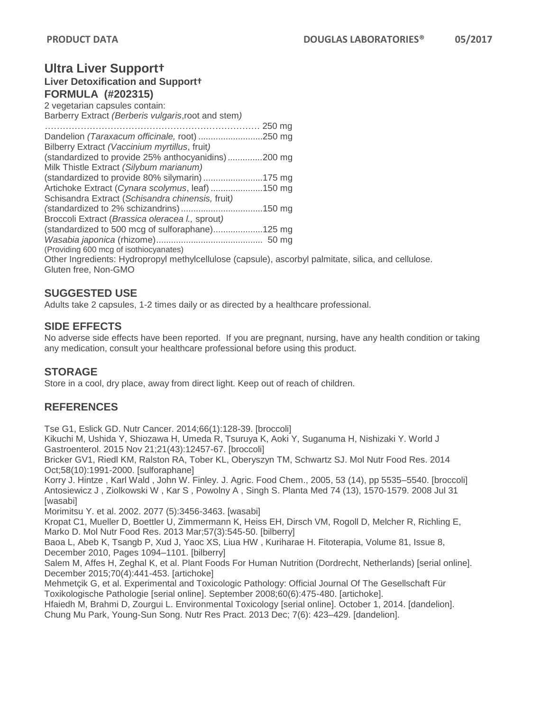# **Ultra Liver Support†**

**Liver Detoxification and Support† FORMULA (#202315)**

2 vegetarian capsules contain: Barberry Extract *(Berberis vulgaris*,root and stem*) ………………………………………………………………* 250 mg Dandelion *(Taraxacum officinale,* root) ..........................250 mg Bilberry Extract *(Vaccinium myrtillus*, fruit*)* (standardized to provide 25% anthocyanidins) *..............*200 mg Milk Thistle Extract *(Silybum marianum)* (standardized to provide 80% silymarin)........................175 mg Artichoke Extract (*Cynara scolymus*, leaf) .....................150 mg Schisandra Extract (*Schisandra chinensis,* fruit*) (*standardized to 2% schizandrins).................................150 mg Broccoli Extract (*Brassica oleracea l.,* sprout*)* (standardized to 500 mcg of sulforaphane)....................125 mg *Wasabia japonica* (rhizome)........................................... 50 mg (Providing 600 mcg of isothiocyanates) Other Ingredients: Hydropropyl methylcellulose (capsule), ascorbyl palmitate, silica, and cellulose. Gluten free, Non-GMO

## **SUGGESTED USE**

Adults take 2 capsules, 1-2 times daily or as directed by a healthcare professional.

## **SIDE EFFECTS**

No adverse side effects have been reported. If you are pregnant, nursing, have any health condition or taking any medication, consult your healthcare professional before using this product.

## **STORAGE**

Store in a cool, dry place, away from direct light. Keep out of reach of children.

## **REFERENCES**

Tse G1, Eslick GD. Nutr Cancer. 2014;66(1):128-39. [broccoli]

Kikuchi M, Ushida Y, Shiozawa H, Umeda R, Tsuruya K, Aoki Y, Suganuma H, Nishizaki Y. World J Gastroenterol. 2015 Nov 21;21(43):12457-67. [broccoli]

Bricker GV1, Riedl KM, Ralston RA, Tober KL, Oberyszyn TM, Schwartz SJ. Mol Nutr Food Res. 2014 Oct;58(10):1991-2000. [sulforaphane]

Korry J. Hintze , Karl Wald , John W. Finley. J. Agric. Food Chem., 2005, 53 (14), pp 5535–5540. [broccoli] Antosiewicz J , Ziolkowski W , Kar S , Powolny A , Singh S. Planta Med 74 (13), 1570-1579. 2008 Jul 31 [wasabi]

Morimitsu Y. et al. 2002. 2077 (5):3456-3463. [wasabi]

Kropat C1, Mueller D, Boettler U, Zimmermann K, Heiss EH, Dirsch VM, Rogoll D, Melcher R, Richling E, Marko D. Mol Nutr Food Res. 2013 Mar;57(3):545-50. [bilberry]

Baoa L, Abeb K, Tsangb P, Xud J, Yaoc XS, Liua HW , Kuriharae H. Fitoterapia, Volume 81, Issue 8, December 2010, Pages 1094–1101. [bilberry]

Salem M, Affes H, Zeghal K, et al. Plant Foods For Human Nutrition (Dordrecht, Netherlands) [serial online]. December 2015;70(4):441-453. [artichoke]

Mehmetçik G, et al. Experimental and Toxicologic Pathology: Official Journal Of The Gesellschaft Für Toxikologische Pathologie [serial online]. September 2008;60(6):475-480. [artichoke].

Hfaiedh M, Brahmi D, Zourgui L. Environmental Toxicology [serial online]. October 1, 2014. [dandelion]. Chung Mu Park, Young-Sun Song. Nutr Res Pract. 2013 Dec; 7(6): 423–429. [dandelion].